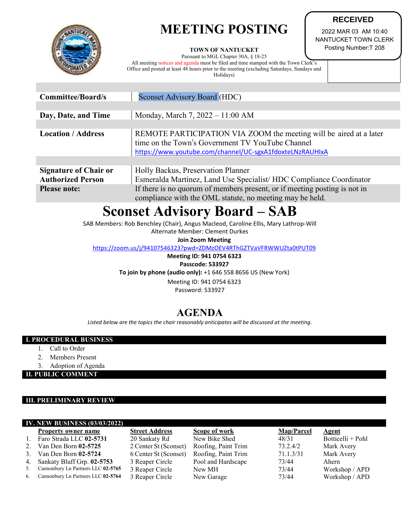# **MEETING POSTING**



#### **TOWN OF NANTUCKET**

Pursuant to MGL Chapter 30A, § 18-25

All meeting notices and agenda must be filed and time stamped with the Town Clerk's Office and posted at least 48 hours prior to the meeting (excluding Saturdays, Sundays and Holidays)

2022 MAR 03 AM 10:40 NANTUCKET TOWN CLERK Posting Number:T 208

**RECEIVED**

| <b>Committee/Board/s</b>                                 | <b>Sconset Advisory Board (HDC)</b>                                                                                                                                                |  |  |  |
|----------------------------------------------------------|------------------------------------------------------------------------------------------------------------------------------------------------------------------------------------|--|--|--|
|                                                          |                                                                                                                                                                                    |  |  |  |
| Day, Date, and Time                                      | Monday, March 7, $2022 - 11:00$ AM                                                                                                                                                 |  |  |  |
|                                                          |                                                                                                                                                                                    |  |  |  |
| <b>Location / Address</b>                                | REMOTE PARTICIPATION VIA ZOOM the meeting will be aired at a later<br>time on the Town's Government TV YouTube Channel<br>https://www.youtube.com/channel/UC-sgxA1fdoxteLNzRAUHIxA |  |  |  |
|                                                          |                                                                                                                                                                                    |  |  |  |
| <b>Signature of Chair or</b><br><b>Authorized Person</b> | Holly Backus, Preservation Planner<br>Esmeralda Martinez, Land Use Specialist/HDC Compliance Coordinator                                                                           |  |  |  |
| <b>Please note:</b>                                      | If there is no quorum of members present, or if meeting posting is not in<br>compliance with the OML statute, no meeting may be held.                                              |  |  |  |

## **Sconset Advisory Board – SAB**

SAB Members: Rob Benchley (Chair), Angus Macleod, Caroline Ellis, Mary Lathrop-Will

Alternate Member: Clement Durkes

**Join Zoom Meeting**

<https://zoom.us/j/94107546323?pwd=ZDMzOEV4RThGZTVaVFRWWUZta0tPUT09>

**Meeting ID: 941 0754 6323**

**Passcode: 533927 To join by phone (audio only):** +1 646 558 8656 US (New York)

Meeting ID: 941 0754 6323

Password: 533927

### **AGENDA**

*Listed below are the topics the chair reasonably anticipates will be discussed at the meeting.*

#### **I. PROCEDURAL BUSINESS**

- 1. Call to Order
- 2. Members Present
- 3. Adoption of Agenda

**II. PUBLIC COMMENT**

#### **III. PRELIMINARY REVIEW**

| <b>IV. NEW BUSINESS (03/03/2022)</b> |                                    |                       |                     |            |                   |  |  |
|--------------------------------------|------------------------------------|-----------------------|---------------------|------------|-------------------|--|--|
|                                      | <b>Property owner name</b>         | <b>Street Address</b> | Scope of work       | Map/Parcel | Agent             |  |  |
|                                      | Faro Strada LLC 02-5731            | 20 Sankaty Rd         | New Bike Shed       | 48/31      | Botticelli + Pohl |  |  |
|                                      | Van Den Born $02-5725$             | 2 Center St (Sconset) | Roofing, Paint Trim | 73.2.4/2   | Mark Avery        |  |  |
| 3.                                   | Van Den Born 02-5724               | 6 Center St (Sconset) | Roofing, Paint Trim | 71.1.3/31  | Mark Avery        |  |  |
| 4.                                   | Sankaty Bluff Grp. 02-5753         | 3 Reaper Circle       | Pool and Hardscape  | 73/44      | Ahern             |  |  |
|                                      | Cannonbury Ln Partners LLC 02-5765 | 3 Reaper Circle       | New MH              | 73/44      | Workshop / APD    |  |  |
| 6.                                   | Cannonbury Ln Partners LLC 02-5764 | 3 Reaper Circle       | New Garage          | 73/44      | Workshop / APD    |  |  |